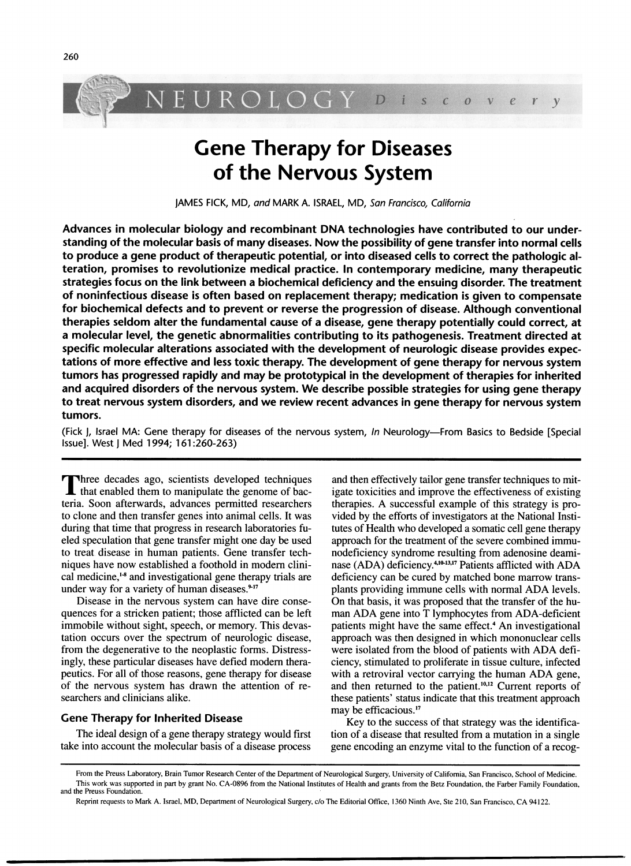

# Gene Therapy for Diseases of the Nervous System

JAMES FICK, MD, and MARK A. ISRAEL, MD, San Francisco, Califomia

Advances in molecular biology and recombinant DNA technologies have contributed to our understanding of the molecular basis of many diseases. Now the possibility of gene transfer into normal cells to produce a gene product of therapeutic potential, or into diseased cells to correct the pathologic alteration, promises to revolutionize medical practice. In contemporary medicine, many therapeutic strategies focus on the link between a biochemical deficiency and the ensuing disorder. The treatment of noninfectious disease is often based on replacement therapy; medication is given to compensate for biochemical defects and to prevent or reverse the progression of disease. Although conventional therapies seldom alter the fundamental cause of a disease, gene therapy potentially could correct, at a molecular level, the genetic abnormalities contributing to its pathogenesis. Treatment directed at specific molecular alterations associated with the development of neurologic disease provides expectations of more effective and less toxic therapy. The development of gene therapy for nervous system tumors has progressed rapidly and may be prototypical in the development of therapies for inherited and acquired disorders of the nervous system. We describe possible strategies for using gene therapy to treat nervous system disorders, and we review recent advances in gene therapy for nervous system tumors.

(Fick J, Israel MA: Gene therapy for diseases of the nervous system, In Neurology-From Basics to Bedside [Special Issue]. West <sup>j</sup> Med 1994; 161:260-263)

**T** three decades ago, scientists developed techniques  $\mathsf L$  that enabled them to manipulate the genome of bacteria. Soon afterwards, advances permitted researchers to clone and then transfer genes into animal cells. It was during that time that progress in research laboratories fueled speculation that gene transfer might one day be used to treat disease in human patients. Gene transfer techniques have now established <sup>a</sup> foothold in modem clinical medicine,<sup>1</sup><sup>8</sup> and investigational gene therapy trials are under way for a variety of human diseases.<sup>9-17</sup>

Disease in the nervous system can have dire consequences for a stricken patient; those afflicted can be left immobile without sight, speech, or memory. This devastation occurs over the spectrum of neurologic disease, from the degenerative to the neoplastic forms. Distressingly, these particular diseases have defied modem therapeutics. For all of those reasons, gene therapy for disease of the nervous system has drawn the attention of researchers and clinicians alike.

#### Gene Therapy for Inherited Disease

The ideal design of a gene therapy strategy would first take into account the molecular basis of a disease process

and then effectively tailor gene transfer techniques to mitigate toxicities and improve the effectiveness of existing therapies. A successful example of this strategy is provided by the efforts of investigators at the National Institutes of Health who developed a somatic cell gene therapy approach for the treatment of the severe combined immunodeficiency syndrome resulting from adenosine deaminase (ADA) deficiency.<sup>4,10-13,17</sup> Patients afflicted with ADA deficiency can be cured by matched bone marrow transplants providing immune cells with normal ADA levels. On that basis, it was proposed that the transfer of the human ADA gene into T lymphocytes from ADA-deficient patients might have the same effect.<sup>4</sup> An investigational approach was then designed in which mononuclear cells were isolated from the blood of patients with ADA deficiency, stimulated to proliferate in tissue culture, infected with <sup>a</sup> retroviral vector carrying the human ADA gene, and then returned to the patient.<sup>10,12</sup> Current reports of these patients' status indicate that this treatment approach may be efficacious.'7

Key to the success of that strategy was the identification of a disease that resulted from a mutation in a single gene encoding an enzyme vital to the function of a recog-

From the Preuss Laboratory, Brain Tumor Research Center of the Department of Neurological Surgery, University of Califomia, San Francisco, School of Medicine. This work was supported in part by grant No. CA-0896 from the National Institutes of Health and grants from the Betz Foundation, the Farber Family Foundation, and the Preuss Foundation.

Reprint requests to Mark A. Israel, MD, Department of Neurological Surgery, c/o The Editorial Office, <sup>1360</sup> Ninth Ave, Ste 210, San Francisco, CA 94122.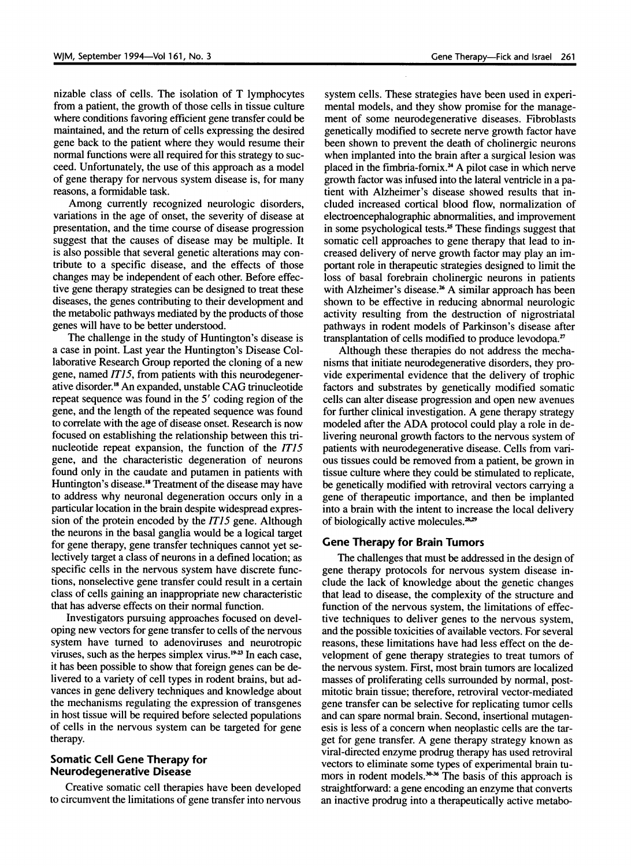nizable class of cells. The isolation of T lymphocytes from a patient, the growth of those cells in tissue culture where conditions favoring efficient gene transfer could be maintained, and the return of cells expressing the desired gene back to the patient where they would resume their normal functions were all required for this strategy to succeed. Unfortunately, the use of this approach as a model of gene therapy for nervous system disease is, for many reasons, a formidable task.

Among currently recognized neurologic disorders, variations in the age of onset, the severity of disease at presentation, and the time course of disease progression suggest that the causes of disease may be multiple. It is also possible that several genetic alterations may contribute to a specific disease, and the effects of those changes may be independent of each other. Before effective gene therapy strategies can be designed to treat these diseases, the genes contributing to their development and the metabolic pathways mediated by the products of those genes will have to be better understood.

The challenge in the study of Huntington's disease is a case in point. Last year the Huntington's Disease Collaborative Research Group reported the cloning of a new gene, named  $ITI5$ , from patients with this neurodegenerative disorder.'8 An expanded, unstable CAG trinucleotide repeat sequence was found in the <sup>5</sup>' coding region of the gene, and the length of the repeated sequence was found to correlate with the age of disease onset. Research is now focused on establishing the relationship between this trinucleotide repeat expansion, the function of the ITIS gene, and the characteristic degeneration of neurons found only in the caudate and putamen in patients with Huntington's disease.<sup>18</sup> Treatment of the disease may have to address why neuronal degeneration occurs only in a particular location in the brain despite widespread expression of the protein encoded by the IT15 gene. Although the neurons in the basal ganglia would be a logical target for gene therapy, gene transfer techniques cannot yet selectively target a class of neurons in a defined location; as specific cells in the nervous system have discrete functions, nonselective gene transfer could result in a certain class of cells gaining an inappropriate new characteristic that has adverse effects on their normal function.

Investigators pursuing approaches focused on developing new vectors for gene transfer to cells of the nervous system have turned to adenoviruses and neurotropic viruses, such as the herpes simplex virus.<sup>19-23</sup> In each case, it has been possible to show that foreign genes can be delivered to a variety of cell types in rodent brains, but advances in gene delivery techniques and knowledge about the mechanisms regulating the expression of transgenes in host tissue will be required before selected populations of cells in the nervous system can be targeted for gene therapy.

## Somatic Cell Gene Therapy for Neurodegenerative Disease

Creative somatic cell therapies have been developed to circumvent the limitations of gene transfer into nervous

system cells. These strategies have been used in experimental models, and they show promise for the management of some neurodegenerative diseases. Fibroblasts genetically modified to secrete nerve growth factor have been shown to prevent the death of cholinergic neurons when implanted into the brain after a surgical lesion was placed in the fimbria-fornix.<sup>24</sup> A pilot case in which nerve growth factor was infused into the lateral ventricle in a patient with Alzheimer's disease showed results that included increased cortical blood flow, normalization of electroencephalographic abnormalities, and improvement in some psychological tests. $25$  These findings suggest that somatic cell approaches to gene therapy that lead to increased delivery of nerve growth factor may play an important role in therapeutic strategies designed to limit the loss of basal forebrain cholinergic neurons in patients with Alzheimer's disease.<sup>26</sup> A similar approach has been shown to be effective in reducing abnormal neurologic activity resulting from the destruction of nigrostriatal pathways in rodent models of Parkinson's disease after transplantation of cells modified to produce levodopa.<sup>27</sup>

Although these therapies do not address the mechanisms that initiate neurodegenerative disorders, they provide experimental evidence that the delivery of trophic factors and substrates by genetically modified somatic cells can alter disease progression and open new avenues for further clinical investigation. A gene therapy strategy modeled after the ADA protocol could play <sup>a</sup> role in delivering neuronal growth factors to the nervous system of patients with neurodegenerative disease. Cells from various tissues could be removed from a patient, be grown in tissue culture where they could be stimulated to replicate, be genetically modified with retroviral vectors carrying a gene of therapeutic importance, and then be implanted into a brain with the intent to increase the local delivery of biologically active molecules.<sup>28,29</sup>

### Gene Therapy for Brain Tumors

The challenges that must be addressed in the design of gene therapy protocols for nervous system disease include the lack of knowledge about the genetic changes that lead to disease, the complexity of the structure and function of the nervous system, the limitations of effective techniques to deliver genes to the nervous system, and the possible toxicities of available vectors. For several reasons, these limitations have had less effect on the development of gene therapy strategies to treat tumors of the nervous system. First, most brain tumors are localized masses of proliferating cells surrounded by normal, postmitotic brain tissue; therefore, retroviral vector-mediated gene transfer can be selective for replicating tumor cells and can spare normal brain. Second, insertional mutagenesis is less of a concern when neoplastic cells are the target for gene transfer. A gene therapy strategy known as viral-directed enzyme prodrug therapy has used retroviral vectors to eliminate some types of experimental brain tumors in rodent models.<sup>30-36</sup> The basis of this approach is straightforward: a gene encoding an enzyme that converts an inactive prodrug into a therapeutically active metabo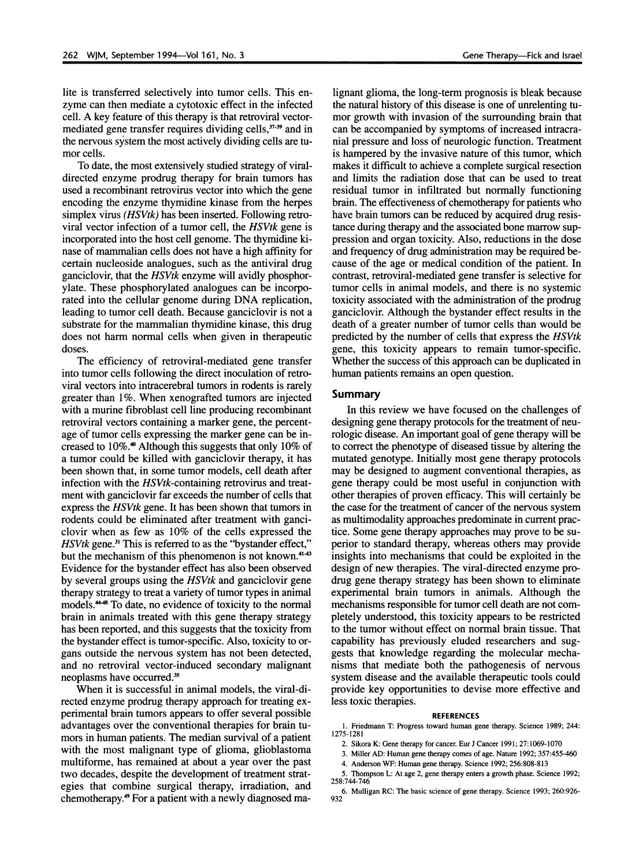lite is transferred selectively into tumor cells. This enzyme can then mediate a cytotoxic effect in the infected cell. A key feature of this therapy is that retroviral vectormediated gene transfer requires dividing cells,<sup>37,39</sup> and in the nervous system the most actively dividing cells are tumor cells.

To date, the most extensively studied strategy of viraldirected enzyme prodrug therapy for brain tumors has used a recombinant retrovirus vector into which the gene encoding the enzyme thymidine kinase from the herpes simplex virus *(HSVtk)* has been inserted. Following retroviral vector infection of a tumor cell, the HSVtk gene is incorporated into the host cell genome. The thymidine kinase of mammalian cells does not have a high affinity for certain nucleoside analogues, such as the antiviral drug ganciclovir, that the HSVtk enzyme will avidly phosphorylate. These phosphorylated analogues can be incorporated into the cellular genome during DNA replication, leading to tumor cell death. Because ganciclovir is not a substrate for the mammalian thymidine kinase, this drug does not harm normal cells when given in therapeutic doses.

The efficiency of retroviral-mediated gene transfer into tumor cells following the direct inoculation of retroviral vectors into intracerebral tumors in rodents is rarely greater than 1%. When xenografted tumors are injected with a murine fibroblast cell line producing recombinant retroviral vectors containing a marker gene, the percentage of tumor cells expressing the marker gene can be increased to 10%.4 Although this suggests that only 10% of a tumor could be killed with ganciclovir therapy, it has been shown that, in some tumor models, cell death after infection with the HSVtk-containing retrovirus and treatment with ganciclovir far exceeds the number of cells that express the HSVtk gene. It has been shown that tumors in rodents could be eliminated after treatment with ganciclovir when as few as 10% of the cells expressed the HSVtk gene.<sup>31</sup> This is referred to as the "bystander effect," but the mechanism of this phenomenon is not known.<sup>41-43</sup> Evidence for the bystander effect has also been observed by several groups using the HSVtk and ganciclovir gene therapy strategy to treat a variety of tumor types in animal models.<sup>4448</sup> To date, no evidence of toxicity to the normal brain in animals treated with this gene therapy strategy has been reported, and this suggests that the toxicity from the bystander effect is tumor-specific. Also, toxicity to organs outside the nervous system has not been detected, and no retroviral vector-induced secondary malignant neoplasms have occurred.<sup>35</sup>

When it is successful in animal models, the viral-directed enzyme prodrug therapy approach for treating experimental brain tumors appears to offer several possible advantages over the conventional therapies for brain tumors in human patients. The median survival of a patient with the most malignant type of glioma, glioblastoma multiforme, has remained at about a year over the past two decades, despite the development of treatment strategies that combine surgical therapy, irradiation, and chemotherapy.49 For a patient with a newly diagnosed ma-

lignant glioma, the long-term prognosis is bleak because the natural history of this disease is one of unrelenting tumor growth with invasion of the surrounding brain that can be accompanied by symptoms of increased intracranial pressure and loss of neurologic function. Treatment is hampered by the invasive nature of this tumor, which makes it difficult to achieve a complete surgical resection and limits the radiation dose that can be used to treat residual tumor in infiltrated but normally functioning brain. The effectiveness of chemotherapy for patients who have brain tumors can be reduced by acquired drug resistance during therapy and the associated bone marrow suppression and organ toxicity. Also, reductions in the dose and frequency of drug administration may be required because of the age or medical condition of the patient. In contrast, retroviral-mediated gene transfer is selective for tumor cells in animal models, and there is no systemic toxicity associated with the administration of the prodrug ganciclovir. Although the bystander effect results in the death of a greater number of tumor cells than would be predicted by the number of cells that express the HSVtk gene, this toxicity appears to remain tumor-specific. Whether the success of this approach can be duplicated in human patients remains an open question.

#### Summary

In this review we have focused on the challenges of designing gene therapy protocols for the treatment of neurologic disease. An important goal of gene therapy will be to correct the phenotype of diseased tissue by altering the mutated genotype. Initially most gene therapy protocols may be designed to augment conventional therapies, as gene therapy could be most useful in conjunction with other therapies of proven efficacy. This will certainly be the case for the treatment of cancer of the nervous system as multimodality approaches predominate in current practice. Some gene therapy approaches may prove to be superior to standard therapy, whereas others may provide insights into mechanisms that could be exploited in the design of new therapies. The viral-directed enzyme prodrug gene therapy strategy has been shown to eliminate experimental brain tumors in animals. Although the mechanisms responsible for tumor cell death are not completely understood, this toxicity appears to be restricted to the tumor without effect on normal brain tissue. That capability has previously eluded researchers and suggests that knowledge regarding the molecular mechanisms that mediate both the pathogenesis of nervous system disease and the available therapeutic tools could provide key opportunities to devise more effective and less toxic therapies.

#### REFERENCES

1. Friedmann T: Progress toward human gene therapy. Science 1989; 244: 1275-1281

2. Sikora K: Gene therapy for cancer. Eur J Cancer 1991; 27:1069-1070

3. Miller AD: Human gene therapy comes of age. Nature 1992; 357:455-460

4. Anderson WF: Human gene therapy. Science 1992; 256:808-813

5. Thompson L: At age 2, gene therapy enters a growth phase. Science 1992;<br>258:744-746 258:744-746

6. Mulligan RC: The basic science of gene therapy. Science 1993; 260:926- 932